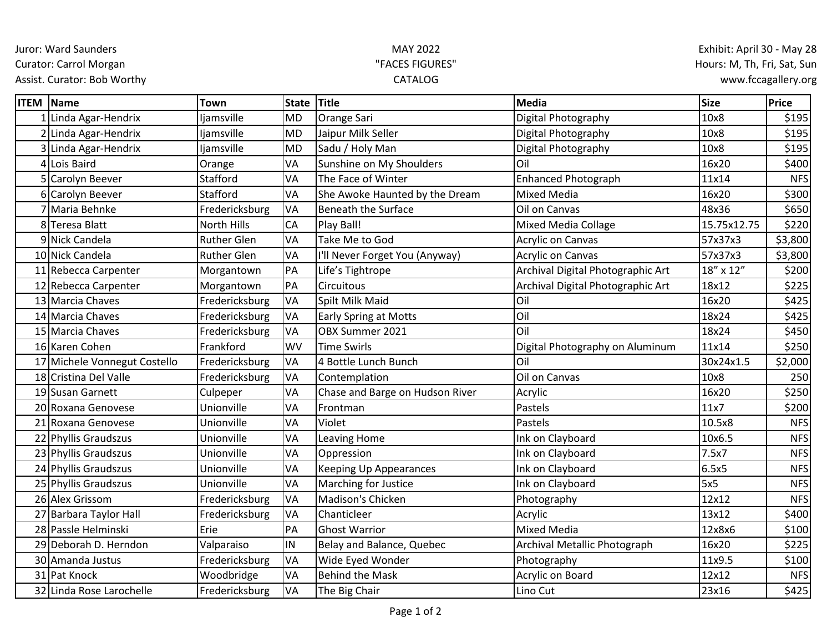Juror: Ward Saunders

Curator: Carrol Morgan

Assist. Curator: Bob Worthy

## MAY 2022 "FACES FIGURES" CATALOG

| <b>ITEM Name</b> |                              | <b>Town</b>        | <b>State</b> | <b>Title</b>                    | Media                             | <b>Size</b> | Price      |
|------------------|------------------------------|--------------------|--------------|---------------------------------|-----------------------------------|-------------|------------|
|                  | Linda Agar-Hendrix           | ljamsville         | <b>MD</b>    | Orange Sari                     | Digital Photography               | 10x8        | \$195      |
|                  | 2 Linda Agar-Hendrix         | ljamsville         | <b>MD</b>    | Jaipur Milk Seller              | Digital Photography               | 10x8        | \$195      |
|                  | 3 Linda Agar-Hendrix         | ljamsville         | <b>MD</b>    | Sadu / Holy Man                 | Digital Photography               | 10x8        | \$195      |
| $\overline{4}$   | Lois Baird                   | Orange             | VA           | Sunshine on My Shoulders        | Oil                               | 16x20       | \$400      |
|                  | Carolyn Beever               | Stafford           | VA           | The Face of Winter              | <b>Enhanced Photograph</b>        | 11x14       | <b>NFS</b> |
|                  | 6 Carolyn Beever             | Stafford           | VA           | She Awoke Haunted by the Dream  | <b>Mixed Media</b>                | 16x20       | \$300      |
|                  | 7 Maria Behnke               | Fredericksburg     | VA           | <b>Beneath the Surface</b>      | Oil on Canvas                     | 48x36       | \$650      |
|                  | 8Teresa Blatt                | North Hills        | <b>CA</b>    | Play Ball!                      | <b>Mixed Media Collage</b>        | 15.75x12.75 | \$220      |
|                  | 9 Nick Candela               | <b>Ruther Glen</b> | VA           | Take Me to God                  | <b>Acrylic on Canvas</b>          | 57x37x3     | \$3,800    |
|                  | 10 Nick Candela              | <b>Ruther Glen</b> | VA           | I'll Never Forget You (Anyway)  | <b>Acrylic on Canvas</b>          | 57x37x3     | \$3,800    |
|                  | 11 Rebecca Carpenter         | Morgantown         | PA           | Life's Tightrope                | Archival Digital Photographic Art | 18" x 12"   | \$200      |
|                  | 12 Rebecca Carpenter         | Morgantown         | PA           | Circuitous                      | Archival Digital Photographic Art | 18x12       | \$225      |
|                  | 13 Marcia Chaves             | Fredericksburg     | VA           | Spilt Milk Maid                 | Oil                               | 16x20       | \$425      |
|                  | 14 Marcia Chaves             | Fredericksburg     | VA           | <b>Early Spring at Motts</b>    | Oil                               | 18x24       | \$425      |
|                  | 15 Marcia Chaves             | Fredericksburg     | VA           | OBX Summer 2021                 | Oil                               | 18x24       | \$450      |
|                  | 16 Karen Cohen               | Frankford          | <b>WV</b>    | <b>Time Swirls</b>              | Digital Photography on Aluminum   | 11x14       | \$250      |
|                  | 17 Michele Vonnegut Costello | Fredericksburg     | VA           | 4 Bottle Lunch Bunch            | Oil                               | 30x24x1.5   | \$2,000    |
|                  | 18 Cristina Del Valle        | Fredericksburg     | VA           | Contemplation                   | Oil on Canvas                     | 10x8        | 250        |
|                  | 19 Susan Garnett             | Culpeper           | VA           | Chase and Barge on Hudson River | Acrylic                           | 16x20       | \$250      |
|                  | 20 Roxana Genovese           | Unionville         | VA           | Frontman                        | Pastels                           | 11x7        | \$200      |
|                  | 21 Roxana Genovese           | Unionville         | VA           | Violet                          | Pastels                           | 10.5x8      | <b>NFS</b> |
|                  | 22 Phyllis Graudszus         | Unionville         | VA           | Leaving Home                    | Ink on Clayboard                  | 10x6.5      | <b>NFS</b> |
|                  | 23 Phyllis Graudszus         | Unionville         | VA           | Oppression                      | Ink on Clayboard                  | 7.5x7       | <b>NFS</b> |
|                  | 24 Phyllis Graudszus         | Unionville         | VA           | <b>Keeping Up Appearances</b>   | Ink on Clayboard                  | 6.5x5       | <b>NFS</b> |
|                  | 25 Phyllis Graudszus         | Unionville         | VA           | Marching for Justice            | Ink on Clayboard                  | 5x5         | <b>NFS</b> |
|                  | 26 Alex Grissom              | Fredericksburg     | VA           | Madison's Chicken               | Photography                       | 12x12       | <b>NFS</b> |
|                  | 27 Barbara Taylor Hall       | Fredericksburg     | VA           | Chanticleer                     | Acrylic                           | 13x12       | \$400      |
|                  | 28 Passle Helminski          | Erie               | PA           | <b>Ghost Warrior</b>            | <b>Mixed Media</b>                | 12x8x6      | \$100      |
|                  | 29 Deborah D. Herndon        | Valparaiso         | IN           | Belay and Balance, Quebec       | Archival Metallic Photograph      | 16x20       | \$225      |
|                  | 30 Amanda Justus             | Fredericksburg     | VA           | Wide Eyed Wonder                | Photography                       | 11x9.5      | \$100      |
|                  | 31 Pat Knock                 | Woodbridge         | VA           | <b>Behind the Mask</b>          | Acrylic on Board                  | 12x12       | <b>NFS</b> |
|                  | 32 Linda Rose Larochelle     | Fredericksburg     | VA           | The Big Chair                   | Lino Cut                          | 23x16       | \$425      |